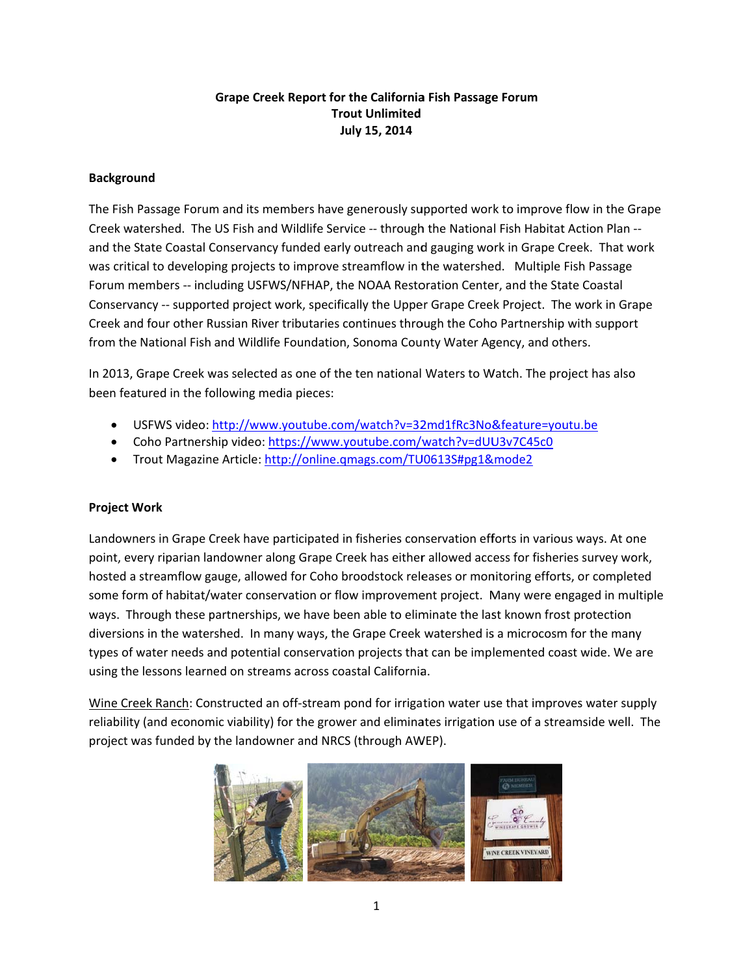## **Grape Creek Report for the California Fish Passage Forum Trout Unlimited** July 15, 2014

## **Background**

The Fish Passage Forum and its members have generously supported work to improve flow in the Grape Creek watershed. The US Fish and Wildlife Service -- through the National Fish Habitat Action Plan -and the State Coastal Conservancy funded early outreach and gauging work in Grape Creek. That work was critical to developing projects to improve streamflow in the watershed. Multiple Fish Passage Forum members -- including USFWS/NFHAP, the NOAA Restoration Center, and the State Coastal Conservancy -- supported project work, specifically the Upper Grape Creek Project. The work in Grape Creek and four other Russian River tributaries continues through the Coho Partnership with support from the National Fish and Wildlife Foundation, Sonoma County Water Agency, and others.

In 2013, Grape Creek was selected as one of the ten national Waters to Watch. The project has also been featured in the following media pieces:

- USFWS video: http://www.youtube.com/watch?v=32md1fRc3No&feature=youtu.be
- Coho Partnership video: https://www.youtube.com/watch?v=dUU3v7C45c0
- Trout Magazine Article: http://online.qmags.com/TU0613S#pg1&mode2

## **Project Work**

Landowners in Grape Creek have participated in fisheries conservation efforts in various ways. At one point, every riparian landowner along Grape Creek has either allowed access for fisheries survey work, hosted a streamflow gauge, allowed for Coho broodstock releases or monitoring efforts, or completed some form of habitat/water conservation or flow improvement project. Many were engaged in multiple ways. Through these partnerships, we have been able to eliminate the last known frost protection diversions in the watershed. In many ways, the Grape Creek watershed is a microcosm for the many types of water needs and potential conservation projects that can be implemented coast wide. We are using the lessons learned on streams across coastal California.

Wine Creek Ranch: Constructed an off-stream pond for irrigation water use that improves water supply reliability (and economic viability) for the grower and eliminates irrigation use of a streamside well. The project was funded by the landowner and NRCS (through AWEP).

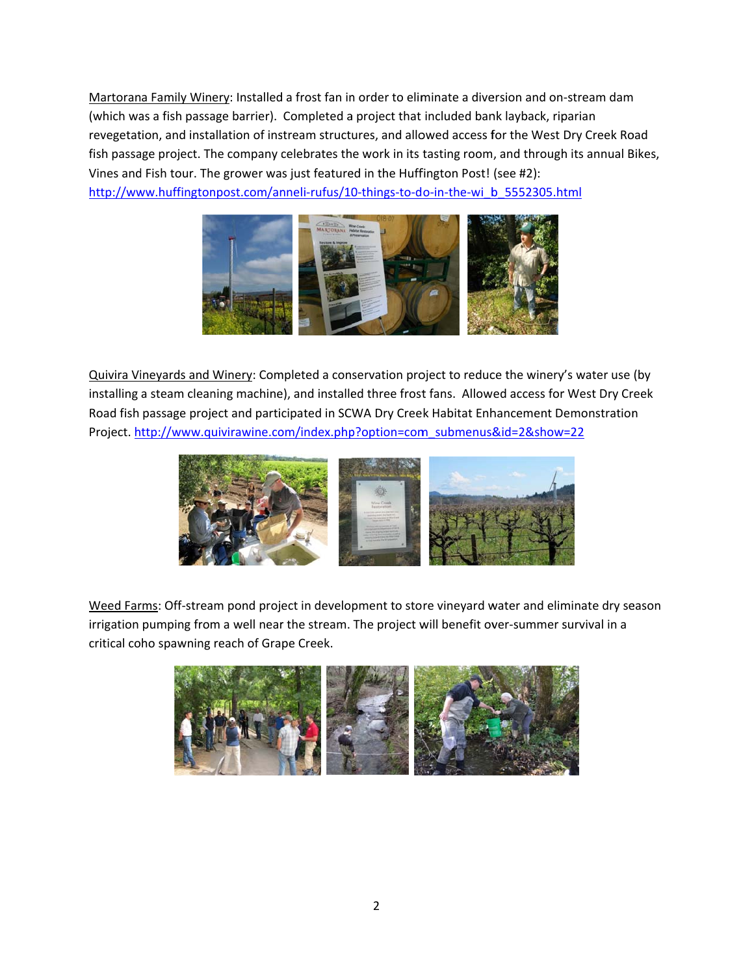Martorana Family Winery: Installed a frost fan in order to eliminate a diversion and on-stream dam (which was a fish passage barrier). Completed a project that included bank layback, riparian revegetation, and installation of instream structures, and allowed access for the West Dry Creek Road fish passage project. The company celebrates the work in its tasting room, and through its annual Bikes, Vines and Fish tour. The grower was just featured in the Huffington Post! (see #2): http://www.huffingtonpost.com/anneli-rufus/10-things-to-do-in-the-wi b 5552305.html



Quivira Vineyards and Winery: Completed a conservation project to reduce the winery's water use (by installing a steam cleaning machine), and installed three frost fans. Allowed access for West Dry Creek Road fish passage project and participated in SCWA Dry Creek Habitat Enhancement Demonstration Project. http://www.quivirawine.com/index.php?option=com submenus&id=2&show=22



Weed Farms: Off-stream pond project in development to store vineyard water and eliminate dry season irrigation pumping from a well near the stream. The project will benefit over-summer survival in a critical coho spawning reach of Grape Creek.

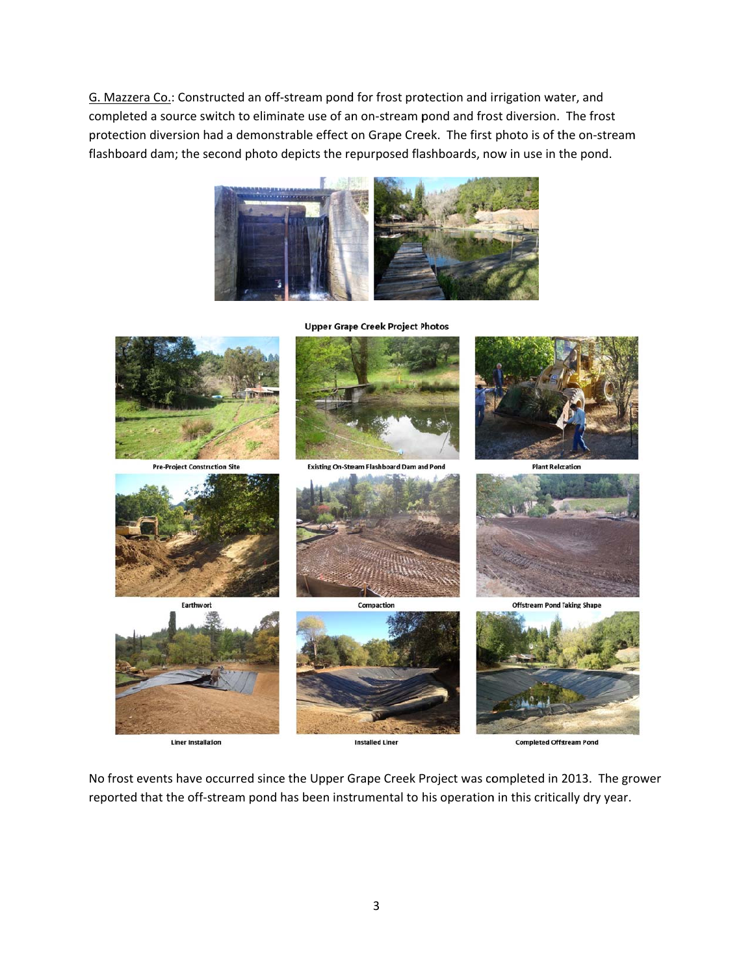G. Mazzera Co.: Constructed an off-stream pond for frost protection and irrigation water, and completed a source switch to eliminate use of an on-stream pond and frost diversion. The frost protection diversion had a demonstrable effect on Grape Creek. The first photo is of the on-stream flashboard dam; the second photo depicts the repurposed flashboards, now in use in the pond.





**Liner Installation** 

**Completed Offstream Pond** 

No frost events have occurred since the Upper Grape Creek Project was completed in 2013. The grower reported that the off-stream pond has been instrumental to his operation in this critically dry year.